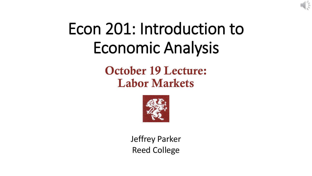

# Econ 201: Introduction to Economic Analysis

**October 19 Lecture: Labor Markets**



Jeffrey Parker Reed College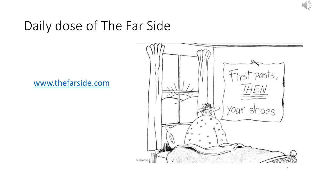

### Daily dose of The Far Side

### [www.thefarside.com](http://www.thefarside.com/)

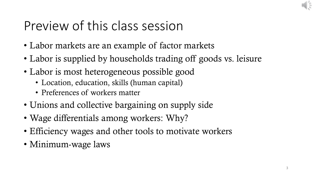## Preview of this class session

- Labor markets are an example of factor markets
- Labor is supplied by households trading off goods vs. leisure
- Labor is most heterogeneous possible good
	- Location, education, skills (human capital)
	- Preferences of workers matter
- Unions and collective bargaining on supply side
- Wage differentials among workers: Why?
- Efficiency wages and other tools to motivate workers
- Minimum-wage laws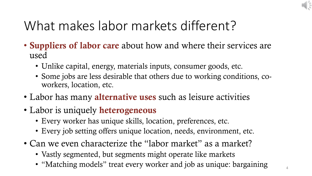# What makes labor markets different?

- **Suppliers of labor care** about how and where their services are used
	- Unlike capital, energy, materials inputs, consumer goods, etc.
	- Some jobs are less desirable that others due to working conditions, coworkers, location, etc.
- Labor has many **alternative uses** such as leisure activities
- Labor is uniquely **heterogeneous**
	- Every worker has unique skills, location, preferences, etc.
	- Every job setting offers unique location, needs, environment, etc.
- Can we even characterize the "labor market" as a market?
	- Vastly segmented, but segments might operate like markets
	- "Matching models" treat every worker and job as unique: bargaining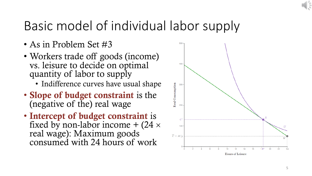# Basic model of individual labor supply

- As in Problem Set #3
- Workers trade off goods (income) vs. leisure to decide on optimal quantity of labor to supply
	- Indifference curves have usual shape
- **Slope of budget constraint** is the (negative of the) real wage
- **Intercept of budget constraint** is fixed by non-labor income  $+$  (24  $\times$ real wage): Maximum goods consumed with 24 hours of work

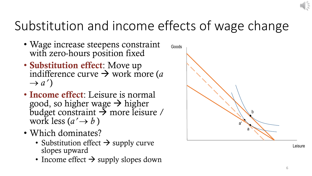# Substitution and income effects of wage change

- Wage increase steepens constraint with zero-hours position fixed
- **Substitution effect**: Move up indifference curve  $\rightarrow$  work more (*a*)  $\rightarrow$  *a'*)
- **Income effect**: Leisure is normal good, so higher wage  $\rightarrow$  higher budget constraint  $\rightarrow$  more leisure / work less  $(a' \rightarrow b)$
- Which dominates?
	- Substitution effect  $\rightarrow$  supply curve slopes upward
	- Income effect  $\rightarrow$  supply slopes down

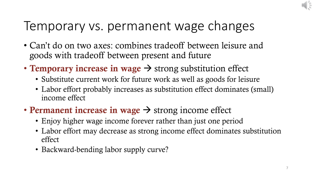### Temporary vs. permanent wage changes

- Can't do on two axes: combines tradeoff between leisure and goods with tradeoff between present and future
- **Temporary increase in wage**  $\rightarrow$  strong substitution effect
	- Substitute current work for future work as well as goods for leisure
	- Labor effort probably increases as substitution effect dominates (small) income effect
- **Permanent increase in wage**  $\rightarrow$  strong income effect
	- Enjoy higher wage income forever rather than just one period
	- Labor effort may decrease as strong income effect dominates substitution effect
	- Backward-bending labor supply curve?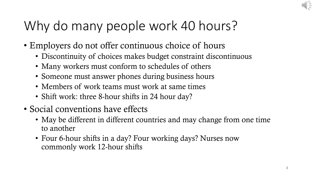# Why do many people work 40 hours?

- Employers do not offer continuous choice of hours
	- Discontinuity of choices makes budget constraint discontinuous
	- Many workers must conform to schedules of others
	- Someone must answer phones during business hours
	- Members of work teams must work at same times
	- Shift work: three 8-hour shifts in 24 hour day?
- Social conventions have effects
	- May be different in different countries and may change from one time to another
	- Four 6-hour shifts in a day? Four working days? Nurses now commonly work 12-hour shifts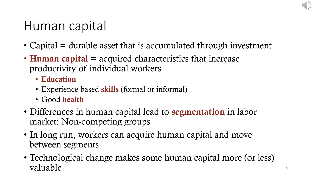

### Human capital

- Capital  $=$  durable asset that is accumulated through investment
- **Human capital** = acquired characteristics that increase productivity of individual workers
	- **Education**
	- Experience-based **skills** (formal or informal)
	- Good **health**
- Differences in human capital lead to **segmentation** in labor market: Non-competing groups
- In long run, workers can acquire human capital and move between segments
- Technological change makes some human capital more (or less) valuable states and the set of the set of the set of the set of the set of the set of the set of the set of the set of the set of the set of the set of the set of the set of the set of the set of the set of the set of the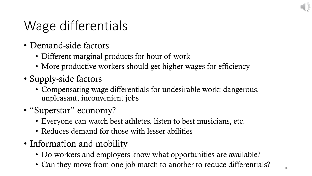

# Wage differentials

- Demand-side factors
	- Different marginal products for hour of work
	- More productive workers should get higher wages for efficiency
- Supply-side factors
	- Compensating wage differentials for undesirable work: dangerous, unpleasant, inconvenient jobs
- "Superstar" economy?
	- Everyone can watch best athletes, listen to best musicians, etc.
	- Reduces demand for those with lesser abilities
- Information and mobility
	- Do workers and employers know what opportunities are available?
	- Can they move from one job match to another to reduce differentials?  $\blacksquare$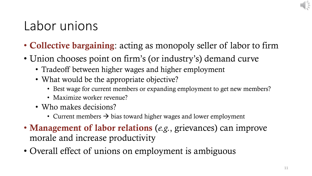### Labor unions

- **Collective bargaining**: acting as monopoly seller of labor to firm
- Union chooses point on firm's (or industry's) demand curve
	- Tradeoff between higher wages and higher employment
	- What would be the appropriate objective?
		- Best wage for current members or expanding employment to get new members?
		- Maximize worker revenue?
	- Who makes decisions?
		- Current members  $\rightarrow$  bias toward higher wages and lower employment
- **Management of labor relations** (*e.g.*, grievances) can improve morale and increase productivity
- Overall effect of unions on employment is ambiguous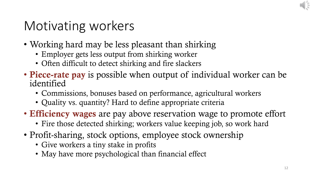# Motivating workers

- Working hard may be less pleasant than shirking
	- Employer gets less output from shirking worker
	- Often difficult to detect shirking and fire slackers
- **Piece-rate pay** is possible when output of individual worker can be identified
	- Commissions, bonuses based on performance, agricultural workers
	- Quality vs. quantity? Hard to define appropriate criteria
- **Efficiency wages** are pay above reservation wage to promote effort
	- Fire those detected shirking; workers value keeping job, so work hard
- Profit-sharing, stock options, employee stock ownership
	- Give workers a tiny stake in profits
	- May have more psychological than financial effect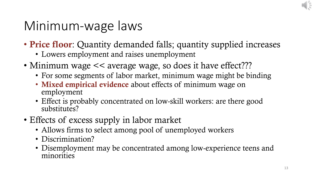

### Minimum-wage laws

- **Price floor**: Quantity demanded falls; quantity supplied increases
	- Lowers employment and raises unemployment
- Minimum wage  $<<$  average wage, so does it have effect???
	- For some segments of labor market, minimum wage might be binding
	- **Mixed empirical evidence** about effects of minimum wage on employment
	- Effect is probably concentrated on low-skill workers: are there good substitutes?
- Effects of excess supply in labor market
	- Allows firms to select among pool of unemployed workers
	- Discrimination?
	- Disemployment may be concentrated among low-experience teens and minorities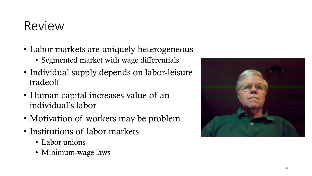### Review

- Labor markets are uniquely heterogeneous
	- Segmented market with wage differentials
- Individual supply depends on labor-leisure tradeoff
- Human capital increases value of an individual's labor
- Motivation of workers may be problem
- Institutions of labor markets
	- Labor unions
	- Minimum-wage laws

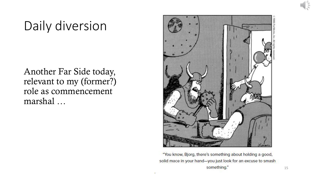# Daily diversion

Another Far Side today, relevant to my (former?) role as commencement marshal …



"You know, Bjorg, there's something about holding a good, solid mace in your hand-you just look for an excuse to smash something."